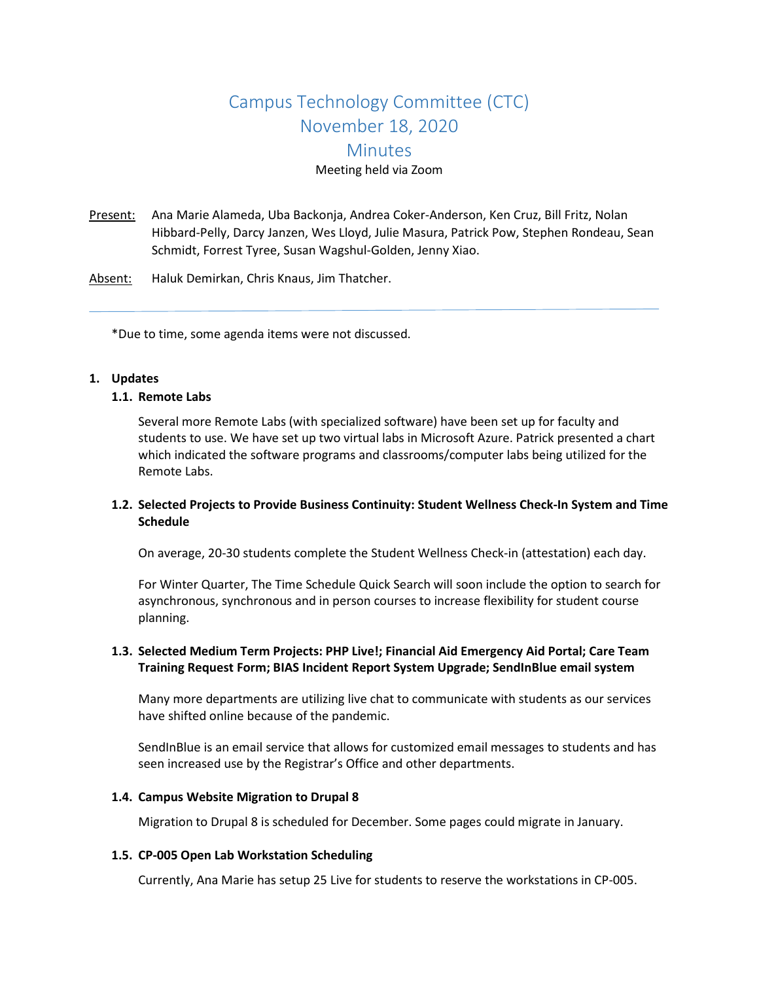# Campus Technology Committee (CTC) November 18, 2020 **Minutes** Meeting held via Zoom

Present: Ana Marie Alameda, Uba Backonja, Andrea Coker-Anderson, Ken Cruz, Bill Fritz, Nolan Hibbard-Pelly, Darcy Janzen, Wes Lloyd, Julie Masura, Patrick Pow, Stephen Rondeau, Sean Schmidt, Forrest Tyree, Susan Wagshul-Golden, Jenny Xiao.

Absent: Haluk Demirkan, Chris Knaus, Jim Thatcher.

\*Due to time, some agenda items were not discussed.

#### **1. Updates**

#### **1.1. Remote Labs**

Several more Remote Labs (with specialized software) have been set up for faculty and students to use. We have set up two virtual labs in Microsoft Azure. Patrick presented a chart which indicated the software programs and classrooms/computer labs being utilized for the Remote Labs.

# **1.2. Selected Projects to Provide Business Continuity: Student Wellness Check-In System and Time Schedule**

On average, 20-30 students complete the Student Wellness Check-in (attestation) each day.

For Winter Quarter, The Time Schedule Quick Search will soon include the option to search for asynchronous, synchronous and in person courses to increase flexibility for student course planning.

# **1.3. Selected Medium Term Projects: PHP Live!; Financial Aid Emergency Aid Portal; Care Team Training Request Form; BIAS Incident Report System Upgrade; SendInBlue email system**

Many more departments are utilizing live chat to communicate with students as our services have shifted online because of the pandemic.

SendInBlue is an email service that allows for customized email messages to students and has seen increased use by the Registrar's Office and other departments.

#### **1.4. Campus Website Migration to Drupal 8**

Migration to Drupal 8 is scheduled for December. Some pages could migrate in January.

#### **1.5. CP-005 Open Lab Workstation Scheduling**

Currently, Ana Marie has setup 25 Live for students to reserve the workstations in CP-005.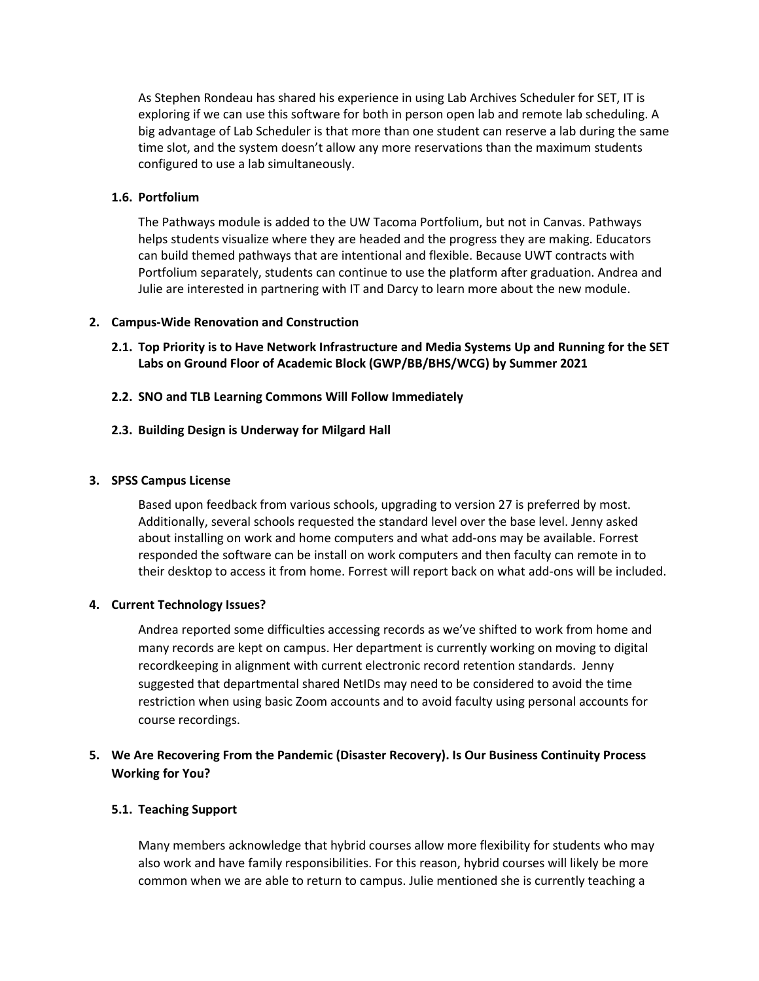As Stephen Rondeau has shared his experience in using Lab Archives Scheduler for SET, IT is exploring if we can use this software for both in person open lab and remote lab scheduling. A big advantage of Lab Scheduler is that more than one student can reserve a lab during the same time slot, and the system doesn't allow any more reservations than the maximum students configured to use a lab simultaneously.

### **1.6. Portfolium**

The Pathways module is added to the UW Tacoma Portfolium, but not in Canvas. Pathways helps students visualize where they are headed and the progress they are making. Educators can build themed pathways that are intentional and flexible. Because UWT contracts with Portfolium separately, students can continue to use the platform after graduation. Andrea and Julie are interested in partnering with IT and Darcy to learn more about the new module.

#### **2. Campus-Wide Renovation and Construction**

- **2.1. Top Priority is to Have Network Infrastructure and Media Systems Up and Running for the SET Labs on Ground Floor of Academic Block (GWP/BB/BHS/WCG) by Summer 2021**
- **2.2. SNO and TLB Learning Commons Will Follow Immediately**

#### **2.3. Building Design is Underway for Milgard Hall**

#### **3. SPSS Campus License**

Based upon feedback from various schools, upgrading to version 27 is preferred by most. Additionally, several schools requested the standard level over the base level. Jenny asked about installing on work and home computers and what add-ons may be available. Forrest responded the software can be install on work computers and then faculty can remote in to their desktop to access it from home. Forrest will report back on what add-ons will be included.

#### **4. Current Technology Issues?**

Andrea reported some difficulties accessing records as we've shifted to work from home and many records are kept on campus. Her department is currently working on moving to digital recordkeeping in alignment with current electronic record retention standards. Jenny suggested that departmental shared NetIDs may need to be considered to avoid the time restriction when using basic Zoom accounts and to avoid faculty using personal accounts for course recordings.

# **5. We Are Recovering From the Pandemic (Disaster Recovery). Is Our Business Continuity Process Working for You?**

#### **5.1. Teaching Support**

Many members acknowledge that hybrid courses allow more flexibility for students who may also work and have family responsibilities. For this reason, hybrid courses will likely be more common when we are able to return to campus. Julie mentioned she is currently teaching a